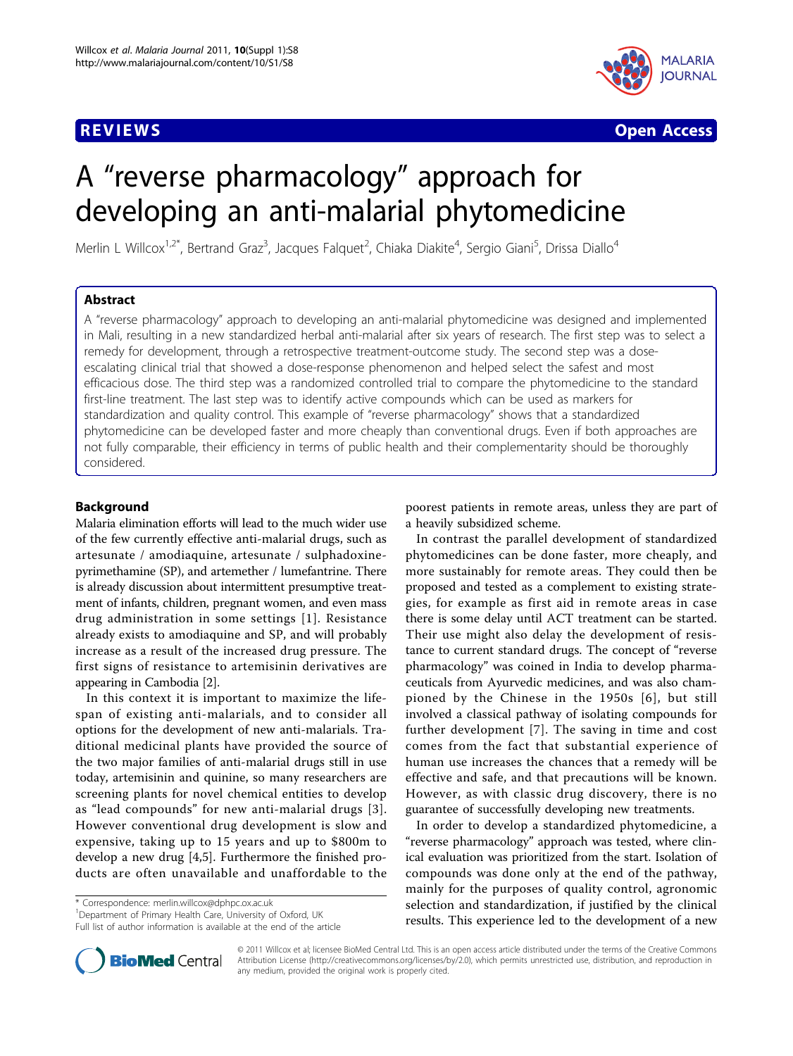

**REVIEWS CONSULTANT CONSULTANT CONSULTANT CONSULTANT CONSULTANT CONSULTANT CONSULTANT CONSULTANT CONSULTANT CONSULTANT CONSULTANT CONSULTANT CONSULTANT CONSULTANT CONSULTANT CONSULTANT CONSULTANT CONSULTANT CONSULTANT CO** 

# A "reverse pharmacology" approach for developing an anti-malarial phytomedicine

Merlin L Willcox<sup>1,2\*</sup>, Bertrand Graz<sup>3</sup>, Jacques Falquet<sup>2</sup>, Chiaka Diakite<sup>4</sup>, Sergio Giani<sup>5</sup>, Drissa Diallo<sup>4</sup>

# Abstract

A "reverse pharmacology" approach to developing an anti-malarial phytomedicine was designed and implemented in Mali, resulting in a new standardized herbal anti-malarial after six years of research. The first step was to select a remedy for development, through a retrospective treatment-outcome study. The second step was a doseescalating clinical trial that showed a dose-response phenomenon and helped select the safest and most efficacious dose. The third step was a randomized controlled trial to compare the phytomedicine to the standard first-line treatment. The last step was to identify active compounds which can be used as markers for standardization and quality control. This example of "reverse pharmacology" shows that a standardized phytomedicine can be developed faster and more cheaply than conventional drugs. Even if both approaches are not fully comparable, their efficiency in terms of public health and their complementarity should be thoroughly considered.

# Background

Malaria elimination efforts will lead to the much wider use of the few currently effective anti-malarial drugs, such as artesunate / amodiaquine, artesunate / sulphadoxinepyrimethamine (SP), and artemether / lumefantrine. There is already discussion about intermittent presumptive treatment of infants, children, pregnant women, and even mass drug administration in some settings [[1](#page-9-0)]. Resistance already exists to amodiaquine and SP, and will probably increase as a result of the increased drug pressure. The first signs of resistance to artemisinin derivatives are appearing in Cambodia [\[2\]](#page-9-0).

In this context it is important to maximize the lifespan of existing anti-malarials, and to consider all options for the development of new anti-malarials. Traditional medicinal plants have provided the source of the two major families of anti-malarial drugs still in use today, artemisinin and quinine, so many researchers are screening plants for novel chemical entities to develop as "lead compounds" for new anti-malarial drugs [[3\]](#page-9-0). However conventional drug development is slow and expensive, taking up to 15 years and up to \$800m to develop a new drug [[4,5\]](#page-9-0). Furthermore the finished products are often unavailable and unaffordable to the

\* Correspondence: [merlin.willcox@dphpc.ox.ac.uk](mailto:merlin.willcox@dphpc.ox.ac.uk)

<sup>1</sup>Department of Primary Health Care, University of Oxford, UK Full list of author information is available at the end of the article poorest patients in remote areas, unless they are part of a heavily subsidized scheme.

In contrast the parallel development of standardized phytomedicines can be done faster, more cheaply, and more sustainably for remote areas. They could then be proposed and tested as a complement to existing strategies, for example as first aid in remote areas in case there is some delay until ACT treatment can be started. Their use might also delay the development of resistance to current standard drugs. The concept of "reverse pharmacology" was coined in India to develop pharmaceuticals from Ayurvedic medicines, and was also championed by the Chinese in the 1950s [[6](#page-9-0)], but still involved a classical pathway of isolating compounds for further development [[7](#page-9-0)]. The saving in time and cost comes from the fact that substantial experience of human use increases the chances that a remedy will be effective and safe, and that precautions will be known. However, as with classic drug discovery, there is no guarantee of successfully developing new treatments.

In order to develop a standardized phytomedicine, a "reverse pharmacology" approach was tested, where clinical evaluation was prioritized from the start. Isolation of compounds was done only at the end of the pathway, mainly for the purposes of quality control, agronomic selection and standardization, if justified by the clinical results. This experience led to the development of a new



© 2011 Willcox et al; licensee BioMed Central Ltd. This is an open access article distributed under the terms of the Creative Commons Attribution License [\(http://creativecommons.org/licenses/by/2.0](http://creativecommons.org/licenses/by/2.0)), which permits unrestricted use, distribution, and reproduction in any medium, provided the original work is properly cited.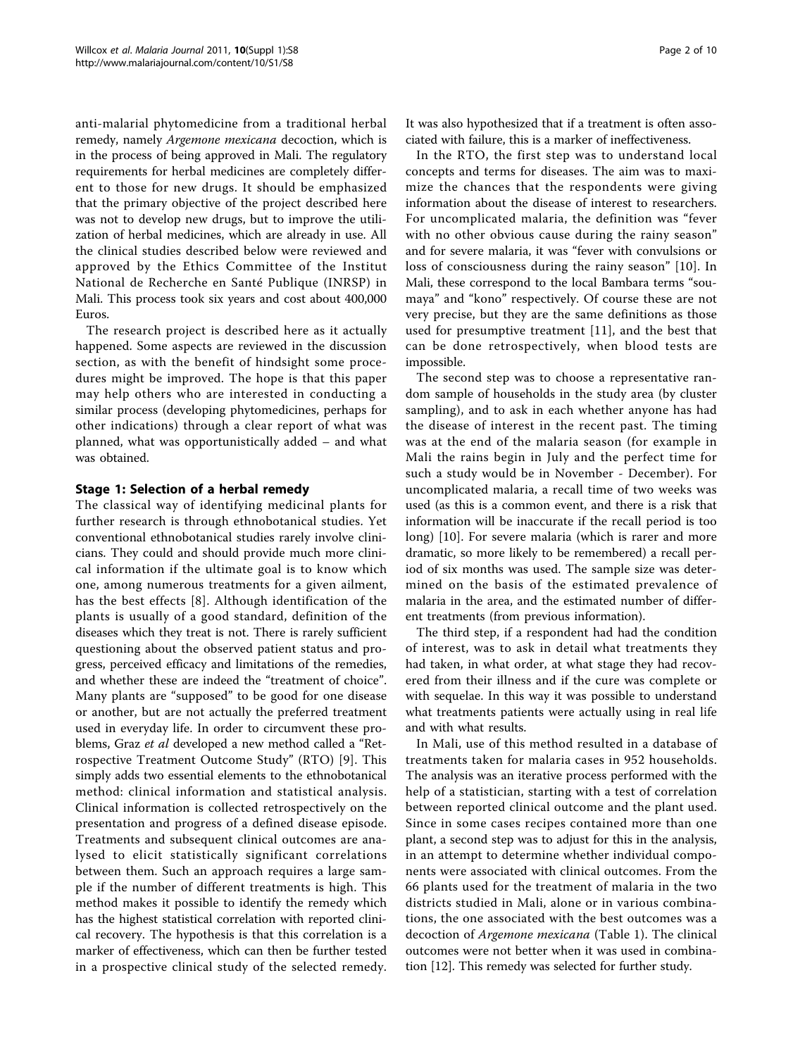anti-malarial phytomedicine from a traditional herbal remedy, namely Argemone mexicana decoction, which is in the process of being approved in Mali. The regulatory requirements for herbal medicines are completely different to those for new drugs. It should be emphasized that the primary objective of the project described here was not to develop new drugs, but to improve the utilization of herbal medicines, which are already in use. All the clinical studies described below were reviewed and approved by the Ethics Committee of the Institut National de Recherche en Santé Publique (INRSP) in Mali. This process took six years and cost about 400,000 Euros.

The research project is described here as it actually happened. Some aspects are reviewed in the discussion section, as with the benefit of hindsight some procedures might be improved. The hope is that this paper may help others who are interested in conducting a similar process (developing phytomedicines, perhaps for other indications) through a clear report of what was planned, what was opportunistically added – and what was obtained.

# Stage 1: Selection of a herbal remedy

The classical way of identifying medicinal plants for further research is through ethnobotanical studies. Yet conventional ethnobotanical studies rarely involve clinicians. They could and should provide much more clinical information if the ultimate goal is to know which one, among numerous treatments for a given ailment, has the best effects [[8\]](#page-9-0). Although identification of the plants is usually of a good standard, definition of the diseases which they treat is not. There is rarely sufficient questioning about the observed patient status and progress, perceived efficacy and limitations of the remedies, and whether these are indeed the "treatment of choice". Many plants are "supposed" to be good for one disease or another, but are not actually the preferred treatment used in everyday life. In order to circumvent these problems, Graz et al developed a new method called a "Retrospective Treatment Outcome Study" (RTO) [[9\]](#page-9-0). This simply adds two essential elements to the ethnobotanical method: clinical information and statistical analysis. Clinical information is collected retrospectively on the presentation and progress of a defined disease episode. Treatments and subsequent clinical outcomes are analysed to elicit statistically significant correlations between them. Such an approach requires a large sample if the number of different treatments is high. This method makes it possible to identify the remedy which has the highest statistical correlation with reported clinical recovery. The hypothesis is that this correlation is a marker of effectiveness, which can then be further tested in a prospective clinical study of the selected remedy. It was also hypothesized that if a treatment is often associated with failure, this is a marker of ineffectiveness.

In the RTO, the first step was to understand local concepts and terms for diseases. The aim was to maximize the chances that the respondents were giving information about the disease of interest to researchers. For uncomplicated malaria, the definition was "fever with no other obvious cause during the rainy season" and for severe malaria, it was "fever with convulsions or loss of consciousness during the rainy season" [\[10\]](#page-9-0). In Mali, these correspond to the local Bambara terms "soumaya" and "kono" respectively. Of course these are not very precise, but they are the same definitions as those used for presumptive treatment [[11\]](#page-9-0), and the best that can be done retrospectively, when blood tests are impossible.

The second step was to choose a representative random sample of households in the study area (by cluster sampling), and to ask in each whether anyone has had the disease of interest in the recent past. The timing was at the end of the malaria season (for example in Mali the rains begin in July and the perfect time for such a study would be in November - December). For uncomplicated malaria, a recall time of two weeks was used (as this is a common event, and there is a risk that information will be inaccurate if the recall period is too long) [[10\]](#page-9-0). For severe malaria (which is rarer and more dramatic, so more likely to be remembered) a recall period of six months was used. The sample size was determined on the basis of the estimated prevalence of malaria in the area, and the estimated number of different treatments (from previous information).

The third step, if a respondent had had the condition of interest, was to ask in detail what treatments they had taken, in what order, at what stage they had recovered from their illness and if the cure was complete or with sequelae. In this way it was possible to understand what treatments patients were actually using in real life and with what results.

In Mali, use of this method resulted in a database of treatments taken for malaria cases in 952 households. The analysis was an iterative process performed with the help of a statistician, starting with a test of correlation between reported clinical outcome and the plant used. Since in some cases recipes contained more than one plant, a second step was to adjust for this in the analysis, in an attempt to determine whether individual components were associated with clinical outcomes. From the 66 plants used for the treatment of malaria in the two districts studied in Mali, alone or in various combinations, the one associated with the best outcomes was a decoction of Argemone mexicana (Table [1](#page-2-0)). The clinical outcomes were not better when it was used in combination [[12\]](#page-9-0). This remedy was selected for further study.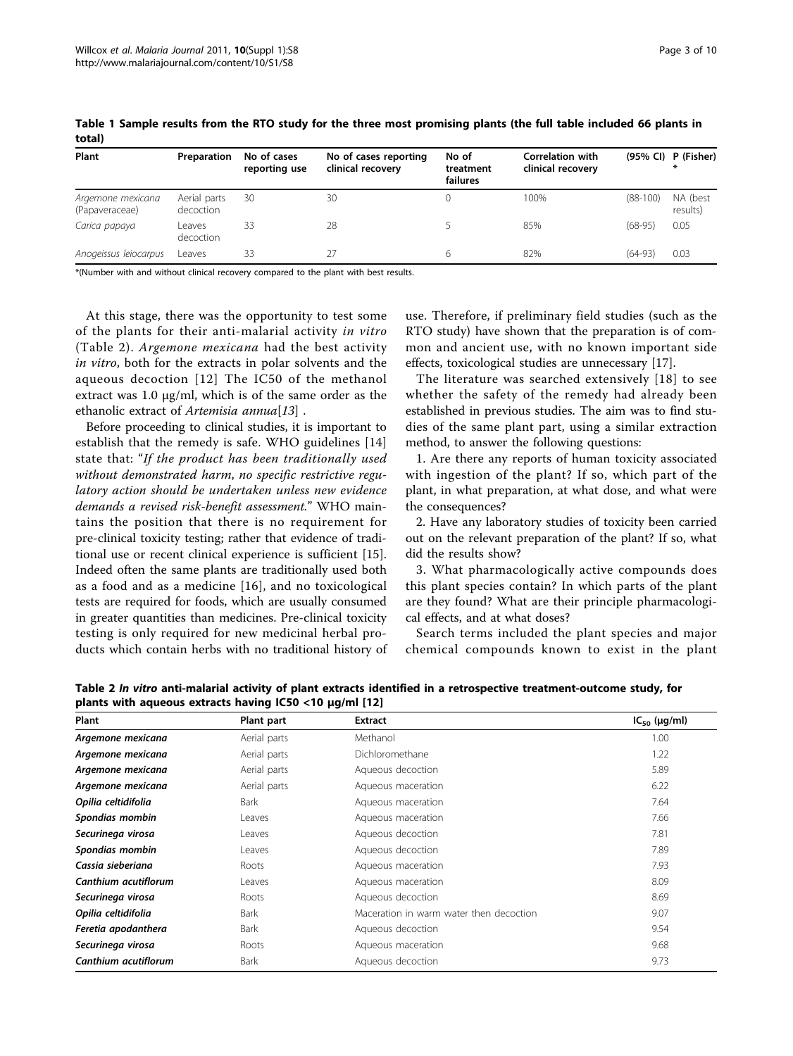| Plant                               | Preparation                | No of cases<br>reporting use | No of cases reporting<br>clinical recovery | No of<br>treatment<br>failures | Correlation with<br>clinical recovery |            | (95% CI) P (Fisher)  |
|-------------------------------------|----------------------------|------------------------------|--------------------------------------------|--------------------------------|---------------------------------------|------------|----------------------|
| Argemone mexicana<br>(Papaveraceae) | Aerial parts<br>decoction  | 30                           | 30                                         |                                | 100%                                  | $(88-100)$ | NA (best<br>results) |
| Carica papaya                       | <b>Leaves</b><br>decoction | 33                           | 28                                         |                                | 85%                                   | $(68-95)$  | 0.05                 |
| Anogeissus leiocarpus               | <b>Leaves</b>              | 33                           | 27                                         |                                | 82%                                   | $(64-93)$  | 0.03                 |

<span id="page-2-0"></span>Table 1 Sample results from the RTO study for the three most promising plants (the full table included 66 plants in total)

\*(Number with and without clinical recovery compared to the plant with best results.

At this stage, there was the opportunity to test some of the plants for their anti-malarial activity in vitro (Table 2). Argemone mexicana had the best activity in vitro, both for the extracts in polar solvents and the aqueous decoction [[12\]](#page-9-0) The IC50 of the methanol extract was 1.0 μg/ml, which is of the same order as the ethanolic extract of Artemisia annua[[13](#page-9-0)].

Before proceeding to clinical studies, it is important to establish that the remedy is safe. WHO guidelines [\[14](#page-9-0)] state that: "If the product has been traditionally used without demonstrated harm, no specific restrictive regulatory action should be undertaken unless new evidence demands a revised risk-benefit assessment." WHO maintains the position that there is no requirement for pre-clinical toxicity testing; rather that evidence of traditional use or recent clinical experience is sufficient [\[15](#page-9-0)]. Indeed often the same plants are traditionally used both as a food and as a medicine [[16](#page-9-0)], and no toxicological tests are required for foods, which are usually consumed in greater quantities than medicines. Pre-clinical toxicity testing is only required for new medicinal herbal products which contain herbs with no traditional history of

use. Therefore, if preliminary field studies (such as the RTO study) have shown that the preparation is of common and ancient use, with no known important side effects, toxicological studies are unnecessary [[17\]](#page-9-0).

The literature was searched extensively [[18\]](#page-9-0) to see whether the safety of the remedy had already been established in previous studies. The aim was to find studies of the same plant part, using a similar extraction method, to answer the following questions:

1. Are there any reports of human toxicity associated with ingestion of the plant? If so, which part of the plant, in what preparation, at what dose, and what were the consequences?

2. Have any laboratory studies of toxicity been carried out on the relevant preparation of the plant? If so, what did the results show?

3. What pharmacologically active compounds does this plant species contain? In which parts of the plant are they found? What are their principle pharmacological effects, and at what doses?

Search terms included the plant species and major chemical compounds known to exist in the plant

Table 2 In vitro anti-malarial activity of plant extracts identified in a retrospective treatment-outcome study, for plants with aqueous extracts having IC50 <10 μg/ml [\[12](#page-9-0)]

| Plant                | Plant part   | <b>Extract</b>                          | $IC_{50}$ (µg/ml) |  |
|----------------------|--------------|-----------------------------------------|-------------------|--|
| Argemone mexicana    | Aerial parts | Methanol                                | 1.00              |  |
| Argemone mexicana    | Aerial parts | Dichloromethane                         | 1.22              |  |
| Argemone mexicana    | Aerial parts | Aqueous decoction                       | 5.89              |  |
| Argemone mexicana    | Aerial parts | Aqueous maceration                      | 6.22              |  |
| Opilia celtidifolia  | Bark         | Aqueous maceration                      | 7.64              |  |
| Spondias mombin      | Leaves       | Aqueous maceration                      | 7.66              |  |
| Securinega virosa    | Leaves       | Aqueous decoction                       | 7.81              |  |
| Spondias mombin      | Leaves       | Aqueous decoction                       | 7.89              |  |
| Cassia sieberiana    | Roots        | Aqueous maceration                      | 7.93              |  |
| Canthium acutiflorum | Leaves       | Aqueous maceration                      | 8.09              |  |
| Securinega virosa    | Roots        | Aqueous decoction                       | 8.69              |  |
| Opilia celtidifolia  | <b>Bark</b>  | Maceration in warm water then decoction | 9.07              |  |
| Feretia apodanthera  | Bark         | Aqueous decoction                       | 9.54              |  |
| Securinega virosa    | Roots        | Aqueous maceration                      | 9.68              |  |
| Canthium acutiflorum | Bark         | Aqueous decoction                       | 9.73              |  |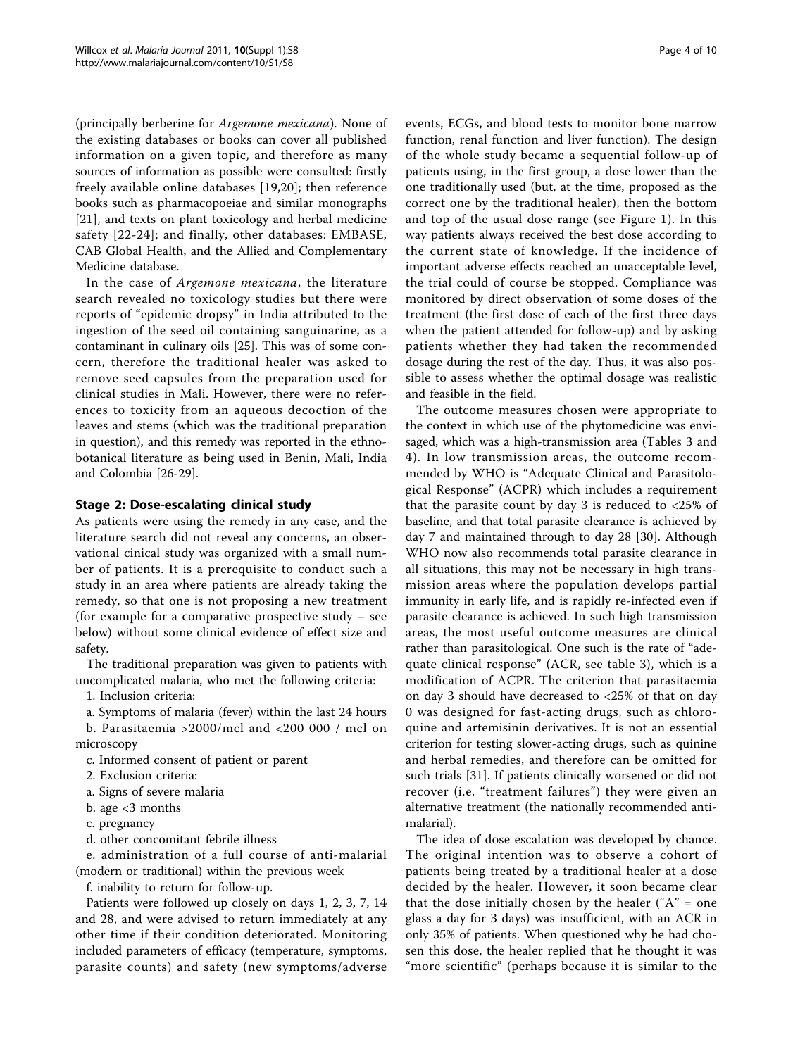(principally berberine for Argemone mexicana). None of the existing databases or books can cover all published information on a given topic, and therefore as many sources of information as possible were consulted: firstly freely available online databases [\[19,20\]](#page-9-0); then reference books such as pharmacopoeiae and similar monographs [[21\]](#page-9-0), and texts on plant toxicology and herbal medicine safety [\[22-24](#page-9-0)]; and finally, other databases: EMBASE, CAB Global Health, and the Allied and Complementary Medicine database.

In the case of Argemone mexicana, the literature search revealed no toxicology studies but there were reports of "epidemic dropsy" in India attributed to the ingestion of the seed oil containing sanguinarine, as a contaminant in culinary oils [[25](#page-9-0)]. This was of some concern, therefore the traditional healer was asked to remove seed capsules from the preparation used for clinical studies in Mali. However, there were no references to toxicity from an aqueous decoction of the leaves and stems (which was the traditional preparation in question), and this remedy was reported in the ethnobotanical literature as being used in Benin, Mali, India and Colombia [[26-29\]](#page-9-0).

# Stage 2: Dose-escalating clinical study

As patients were using the remedy in any case, and the literature search did not reveal any concerns, an observational cinical study was organized with a small number of patients. It is a prerequisite to conduct such a study in an area where patients are already taking the remedy, so that one is not proposing a new treatment (for example for a comparative prospective study – see below) without some clinical evidence of effect size and safety.

The traditional preparation was given to patients with uncomplicated malaria, who met the following criteria:

1. Inclusion criteria:

a. Symptoms of malaria (fever) within the last 24 hours

b. Parasitaemia >2000/mcl and <200 000 / mcl on microscopy

c. Informed consent of patient or parent

- 2. Exclusion criteria:
- a. Signs of severe malaria
- b. age <3 months
- c. pregnancy
- d. other concomitant febrile illness

e. administration of a full course of anti-malarial (modern or traditional) within the previous week

f. inability to return for follow-up.

Patients were followed up closely on days 1, 2, 3, 7, 14 and 28, and were advised to return immediately at any other time if their condition deteriorated. Monitoring included parameters of efficacy (temperature, symptoms, parasite counts) and safety (new symptoms/adverse

events, ECGs, and blood tests to monitor bone marrow function, renal function and liver function). The design of the whole study became a sequential follow-up of patients using, in the first group, a dose lower than the one traditionally used (but, at the time, proposed as the correct one by the traditional healer), then the bottom and top of the usual dose range (see Figure [1](#page-4-0)). In this way patients always received the best dose according to the current state of knowledge. If the incidence of important adverse effects reached an unacceptable level, the trial could of course be stopped. Compliance was monitored by direct observation of some doses of the treatment (the first dose of each of the first three days when the patient attended for follow-up) and by asking patients whether they had taken the recommended dosage during the rest of the day. Thus, it was also possible to assess whether the optimal dosage was realistic and feasible in the field.

The outcome measures chosen were appropriate to the context in which use of the phytomedicine was envisaged, which was a high-transmission area (Tables [3](#page-6-0) and [4](#page-6-0)). In low transmission areas, the outcome recommended by WHO is "Adequate Clinical and Parasitological Response" (ACPR) which includes a requirement that the parasite count by day 3 is reduced to <25% of baseline, and that total parasite clearance is achieved by day 7 and maintained through to day 28 [[30\]](#page-9-0). Although WHO now also recommends total parasite clearance in all situations, this may not be necessary in high transmission areas where the population develops partial immunity in early life, and is rapidly re-infected even if parasite clearance is achieved. In such high transmission areas, the most useful outcome measures are clinical rather than parasitological. One such is the rate of "adequate clinical response" (ACR, see table [3\)](#page-6-0), which is a modification of ACPR. The criterion that parasitaemia on day 3 should have decreased to <25% of that on day 0 was designed for fast-acting drugs, such as chloroquine and artemisinin derivatives. It is not an essential criterion for testing slower-acting drugs, such as quinine and herbal remedies, and therefore can be omitted for such trials [\[31\]](#page-9-0). If patients clinically worsened or did not recover (i.e. "treatment failures") they were given an alternative treatment (the nationally recommended antimalarial).

The idea of dose escalation was developed by chance. The original intention was to observe a cohort of patients being treated by a traditional healer at a dose decided by the healer. However, it soon became clear that the dose initially chosen by the healer ( $A'' =$  one glass a day for 3 days) was insufficient, with an ACR in only 35% of patients. When questioned why he had chosen this dose, the healer replied that he thought it was "more scientific" (perhaps because it is similar to the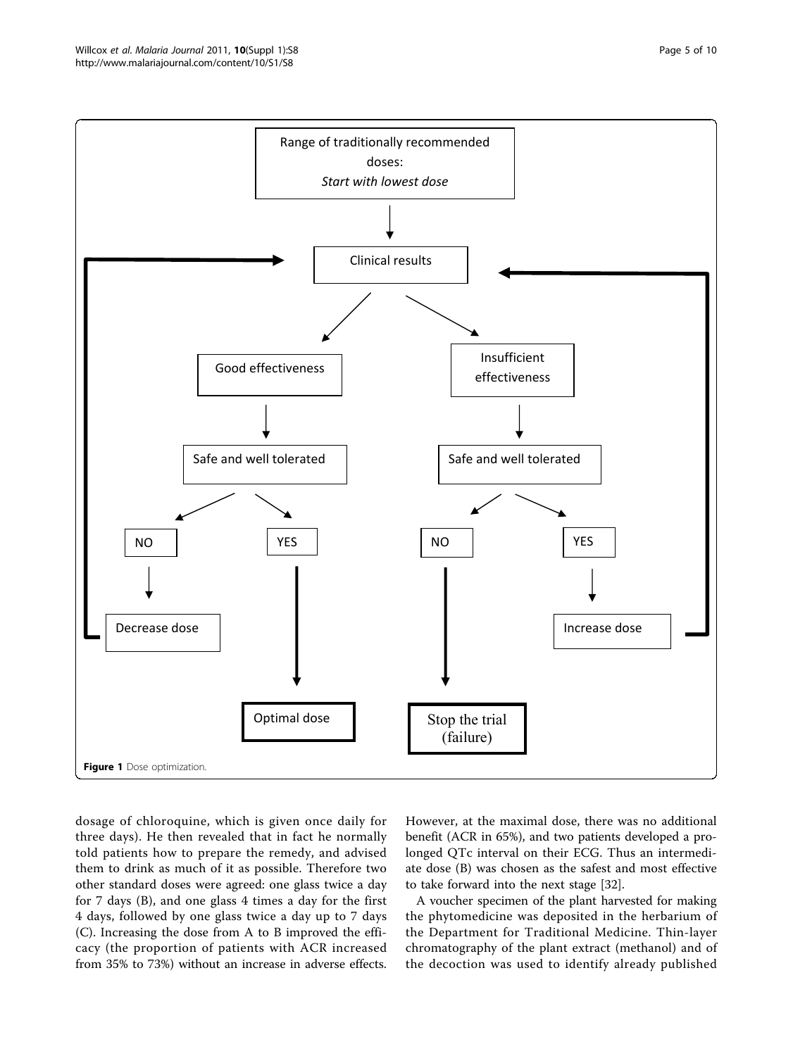<span id="page-4-0"></span>

dosage of chloroquine, which is given once daily for three days). He then revealed that in fact he normally told patients how to prepare the remedy, and advised them to drink as much of it as possible. Therefore two other standard doses were agreed: one glass twice a day for 7 days (B), and one glass 4 times a day for the first 4 days, followed by one glass twice a day up to 7 days (C). Increasing the dose from A to B improved the efficacy (the proportion of patients with ACR increased from 35% to 73%) without an increase in adverse effects. However, at the maximal dose, there was no additional benefit (ACR in 65%), and two patients developed a prolonged QTc interval on their ECG. Thus an intermediate dose (B) was chosen as the safest and most effective to take forward into the next stage [\[32](#page-9-0)].

A voucher specimen of the plant harvested for making the phytomedicine was deposited in the herbarium of the Department for Traditional Medicine. Thin-layer chromatography of the plant extract (methanol) and of the decoction was used to identify already published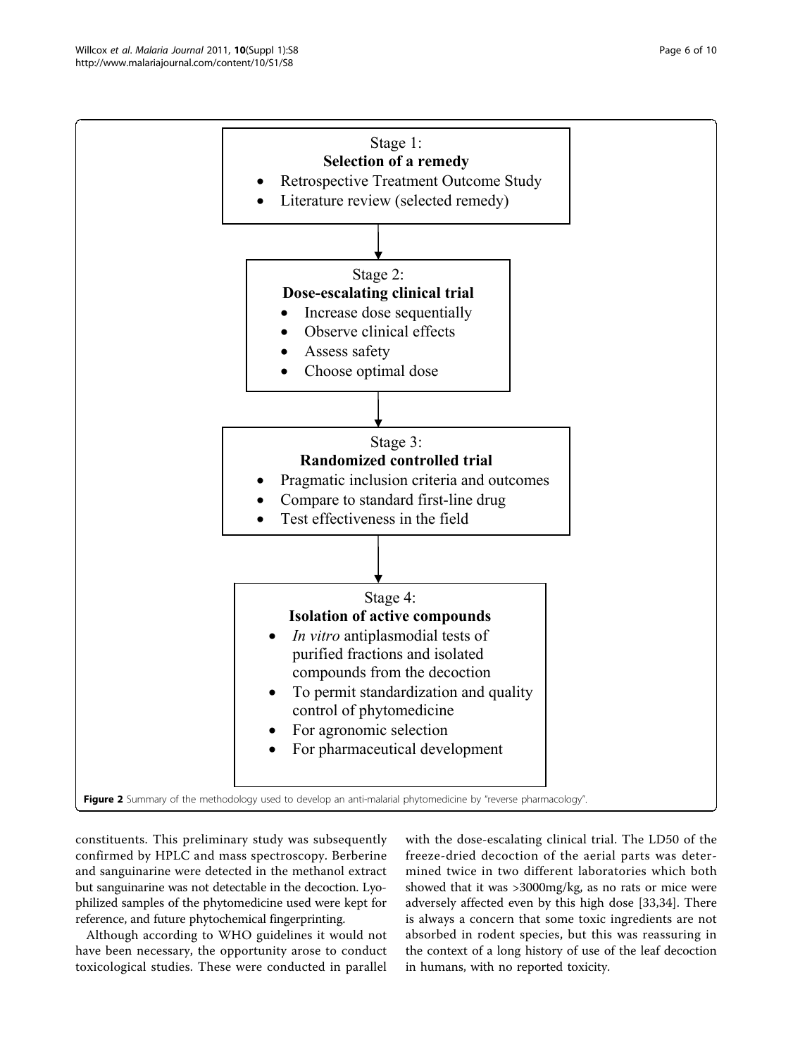

constituents. This preliminary study was subsequently confirmed by HPLC and mass spectroscopy. Berberine and sanguinarine were detected in the methanol extract but sanguinarine was not detectable in the decoction. Lyophilized samples of the phytomedicine used were kept for reference, and future phytochemical fingerprinting.

Although according to WHO guidelines it would not have been necessary, the opportunity arose to conduct toxicological studies. These were conducted in parallel

with the dose-escalating clinical trial. The LD50 of the freeze-dried decoction of the aerial parts was determined twice in two different laboratories which both showed that it was >3000mg/kg, as no rats or mice were adversely affected even by this high dose [[33,34](#page-9-0)]. There is always a concern that some toxic ingredients are not absorbed in rodent species, but this was reassuring in the context of a long history of use of the leaf decoction in humans, with no reported toxicity.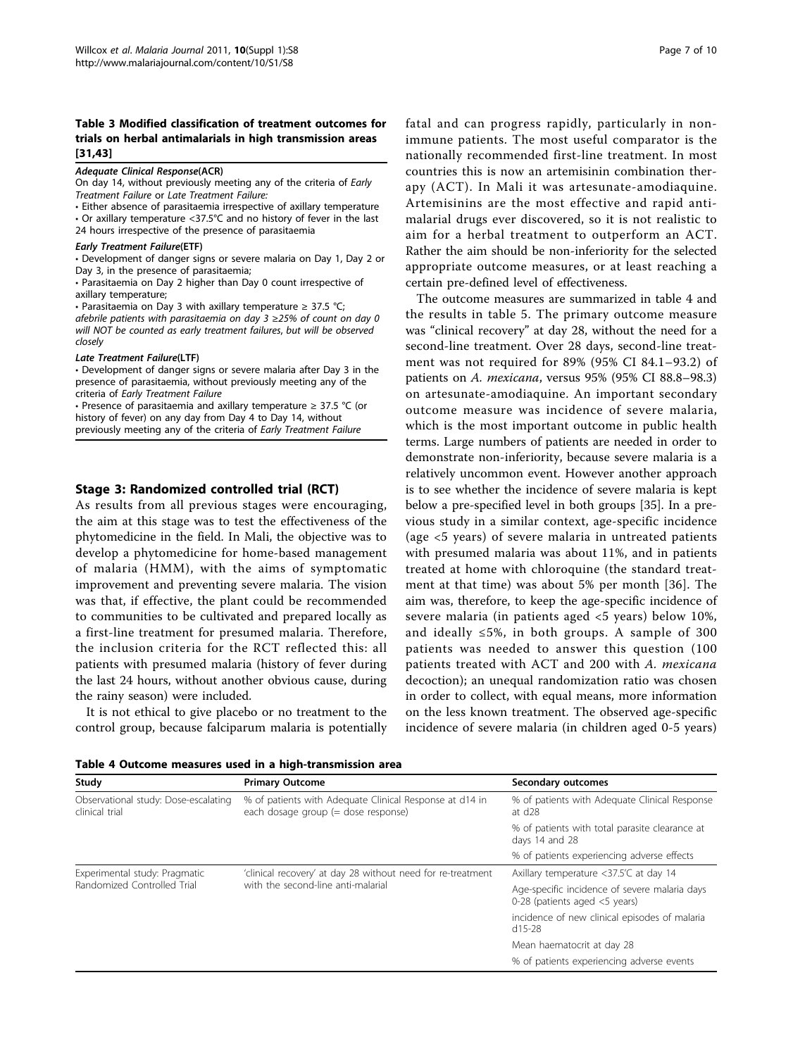# <span id="page-6-0"></span>Table 3 Modified classification of treatment outcomes for trials on herbal antimalarials in high transmission areas [\[31](#page-9-0),[43\]](#page-9-0)

### Adequate Clinical Response(ACR)

On day 14, without previously meeting any of the criteria of Early Treatment Failure or Late Treatment Failure:

• Either absence of parasitaemia irrespective of axillary temperature • Or axillary temperature <37.5°C and no history of fever in the last 24 hours irrespective of the presence of parasitaemia

#### Early Treatment Failure(ETF)

• Development of danger signs or severe malaria on Day 1, Day 2 or Day 3, in the presence of parasitaemia;

• Parasitaemia on Day 2 higher than Day 0 count irrespective of axillary temperature;

• Parasitaemia on Day 3 with axillary temperature ≥ 37.5 °C; afebrile patients with parasitaemia on day 3 ≥25% of count on day 0 will NOT be counted as early treatment failures, but will be observed closely

#### Late Treatment Failure(LTF)

• Development of danger signs or severe malaria after Day 3 in the presence of parasitaemia, without previously meeting any of the criteria of Early Treatment Failure

• Presence of parasitaemia and axillary temperature ≥ 37.5 °C (or history of fever) on any day from Day 4 to Day 14, without previously meeting any of the criteria of Early Treatment Failure

## Stage 3: Randomized controlled trial (RCT)

As results from all previous stages were encouraging, the aim at this stage was to test the effectiveness of the phytomedicine in the field. In Mali, the objective was to develop a phytomedicine for home-based management of malaria (HMM), with the aims of symptomatic improvement and preventing severe malaria. The vision was that, if effective, the plant could be recommended to communities to be cultivated and prepared locally as a first-line treatment for presumed malaria. Therefore, the inclusion criteria for the RCT reflected this: all patients with presumed malaria (history of fever during the last 24 hours, without another obvious cause, during the rainy season) were included.

It is not ethical to give placebo or no treatment to the control group, because falciparum malaria is potentially fatal and can progress rapidly, particularly in nonimmune patients. The most useful comparator is the nationally recommended first-line treatment. In most countries this is now an artemisinin combination therapy (ACT). In Mali it was artesunate-amodiaquine. Artemisinins are the most effective and rapid antimalarial drugs ever discovered, so it is not realistic to aim for a herbal treatment to outperform an ACT. Rather the aim should be non-inferiority for the selected appropriate outcome measures, or at least reaching a certain pre-defined level of effectiveness.

The outcome measures are summarized in table 4 and the results in table [5.](#page-7-0) The primary outcome measure was "clinical recovery" at day 28, without the need for a second-line treatment. Over 28 days, second-line treatment was not required for 89% (95% CI 84.1–93.2) of patients on A. mexicana, versus 95% (95% CI 88.8–98.3) on artesunate-amodiaquine. An important secondary outcome measure was incidence of severe malaria, which is the most important outcome in public health terms. Large numbers of patients are needed in order to demonstrate non-inferiority, because severe malaria is a relatively uncommon event. However another approach is to see whether the incidence of severe malaria is kept below a pre-specified level in both groups [[35\]](#page-9-0). In a previous study in a similar context, age-specific incidence (age <5 years) of severe malaria in untreated patients with presumed malaria was about 11%, and in patients treated at home with chloroquine (the standard treatment at that time) was about 5% per month [[36\]](#page-9-0). The aim was, therefore, to keep the age-specific incidence of severe malaria (in patients aged <5 years) below 10%, and ideally ≤5%, in both groups. A sample of 300 patients was needed to answer this question (100 patients treated with ACT and 200 with A. mexicana decoction); an unequal randomization ratio was chosen in order to collect, with equal means, more information on the less known treatment. The observed age-specific incidence of severe malaria (in children aged 0-5 years)

Table 4 Outcome measures used in a high-transmission area

| Study                                                  | <b>Primary Outcome</b>                                                                            | Secondary outcomes                                                             |  |
|--------------------------------------------------------|---------------------------------------------------------------------------------------------------|--------------------------------------------------------------------------------|--|
| Observational study: Dose-escalating<br>clinical trial | % of patients with Adequate Clinical Response at d14 in<br>each dosage group (= dose response)    | % of patients with Adequate Clinical Response<br>at d28                        |  |
|                                                        |                                                                                                   | % of patients with total parasite clearance at<br>days 14 and 28               |  |
|                                                        |                                                                                                   | % of patients experiencing adverse effects                                     |  |
| Experimental study: Pragmatic                          | 'clinical recovery' at day 28 without need for re-treatment<br>with the second-line anti-malarial | Axillary temperature <37.5'C at day 14                                         |  |
| Randomized Controlled Trial                            |                                                                                                   | Age-specific incidence of severe malaria days<br>0-28 (patients aged <5 years) |  |
|                                                        |                                                                                                   | incidence of new clinical episodes of malaria<br>$d15-28$                      |  |
|                                                        |                                                                                                   | Mean haematocrit at day 28                                                     |  |
|                                                        |                                                                                                   | % of patients experiencing adverse events                                      |  |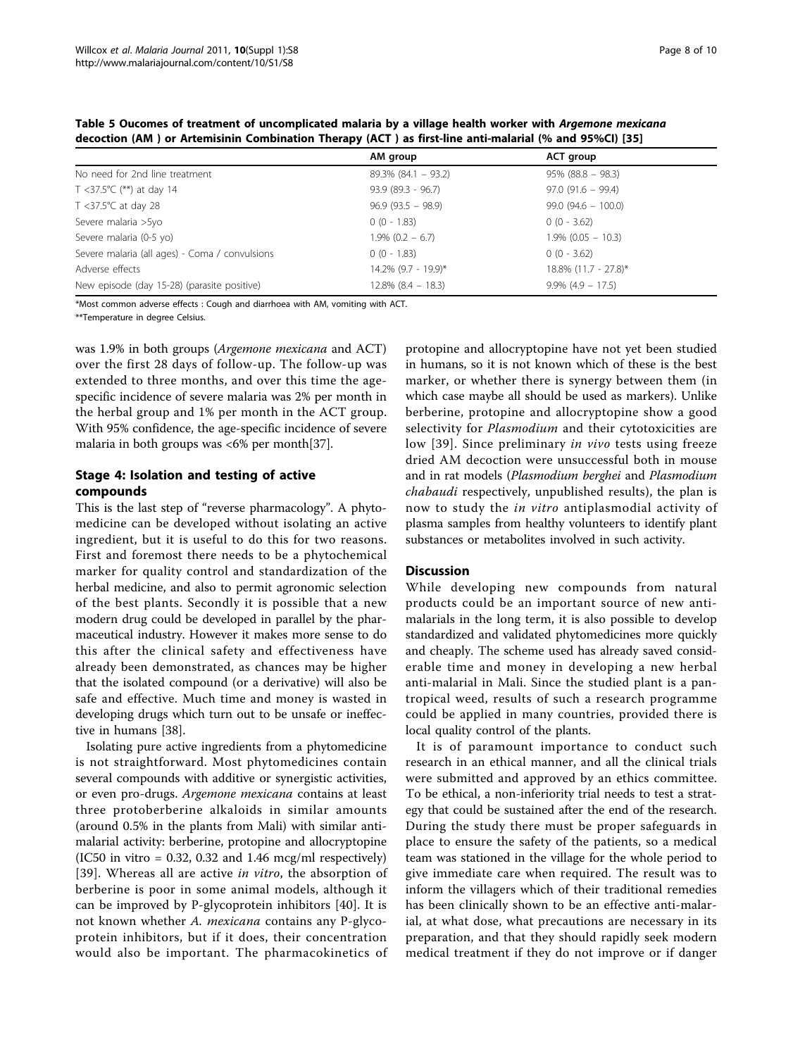<span id="page-7-0"></span>Table 5 Oucomes of treatment of uncomplicated malaria by a village health worker with Argemone mexicana decoction (AM ) or Artemisinin Combination Therapy (ACT ) as first-line anti-malarial (% and 95%CI) [\[35](#page-9-0)]

|                                                | AM group               | ACT group             |
|------------------------------------------------|------------------------|-----------------------|
| No need for 2nd line treatment                 | $89.3\%$ (84.1 - 93.2) | $95\%$ (88.8 – 98.3)  |
| T <37.5 °C (**) at day 14                      | $93.9(89.3 - 96.7)$    | $97.0$ (91.6 - 99.4)  |
| T <37.5 $°C$ at day 28                         | $96.9(93.5 - 98.9)$    | $99.0$ (94.6 - 100.0) |
| Severe malaria >5yo                            | $0(0 - 1.83)$          | $0(0 - 3.62)$         |
| Severe malaria (0-5 yo)                        | $1.9\%$ (0.2 - 6.7)    | $1.9\%$ (0.05 - 10.3) |
| Severe malaria (all ages) - Coma / convulsions | $0(0 - 1.83)$          | $0(0 - 3.62)$         |
| Adverse effects                                | 14.2% (9.7 - 19.9)*    | 18.8% (11.7 - 27.8)*  |
| New episode (day 15-28) (parasite positive)    | $12.8\% (8.4 - 18.3)$  | $9.9\%$ (4.9 - 17.5)  |

\*Most common adverse effects : Cough and diarrhoea with AM, vomiting with ACT.

\*\*Temperature in degree Celsius.

was 1.9% in both groups (Argemone mexicana and ACT) over the first 28 days of follow-up. The follow-up was extended to three months, and over this time the agespecific incidence of severe malaria was 2% per month in the herbal group and 1% per month in the ACT group. With 95% confidence, the age-specific incidence of severe malaria in both groups was <6% per month[\[37](#page-9-0)].

# Stage 4: Isolation and testing of active compounds

This is the last step of "reverse pharmacology". A phytomedicine can be developed without isolating an active ingredient, but it is useful to do this for two reasons. First and foremost there needs to be a phytochemical marker for quality control and standardization of the herbal medicine, and also to permit agronomic selection of the best plants. Secondly it is possible that a new modern drug could be developed in parallel by the pharmaceutical industry. However it makes more sense to do this after the clinical safety and effectiveness have already been demonstrated, as chances may be higher that the isolated compound (or a derivative) will also be safe and effective. Much time and money is wasted in developing drugs which turn out to be unsafe or ineffective in humans [\[38](#page-9-0)].

Isolating pure active ingredients from a phytomedicine is not straightforward. Most phytomedicines contain several compounds with additive or synergistic activities, or even pro-drugs. Argemone mexicana contains at least three protoberberine alkaloids in similar amounts (around 0.5% in the plants from Mali) with similar antimalarial activity: berberine, protopine and allocryptopine  $(IC50$  in vitro = 0.32, 0.32 and 1.46 mcg/ml respectively) [[39](#page-9-0)]. Whereas all are active in vitro, the absorption of berberine is poor in some animal models, although it can be improved by P-glycoprotein inhibitors [[40](#page-9-0)]. It is not known whether A. mexicana contains any P-glycoprotein inhibitors, but if it does, their concentration would also be important. The pharmacokinetics of

protopine and allocryptopine have not yet been studied in humans, so it is not known which of these is the best marker, or whether there is synergy between them (in which case maybe all should be used as markers). Unlike berberine, protopine and allocryptopine show a good selectivity for *Plasmodium* and their cytotoxicities are low [[39\]](#page-9-0). Since preliminary in vivo tests using freeze dried AM decoction were unsuccessful both in mouse and in rat models (Plasmodium berghei and Plasmodium chabaudi respectively, unpublished results), the plan is now to study the in vitro antiplasmodial activity of plasma samples from healthy volunteers to identify plant substances or metabolites involved in such activity.

# **Discussion**

While developing new compounds from natural products could be an important source of new antimalarials in the long term, it is also possible to develop standardized and validated phytomedicines more quickly and cheaply. The scheme used has already saved considerable time and money in developing a new herbal anti-malarial in Mali. Since the studied plant is a pantropical weed, results of such a research programme could be applied in many countries, provided there is local quality control of the plants.

It is of paramount importance to conduct such research in an ethical manner, and all the clinical trials were submitted and approved by an ethics committee. To be ethical, a non-inferiority trial needs to test a strategy that could be sustained after the end of the research. During the study there must be proper safeguards in place to ensure the safety of the patients, so a medical team was stationed in the village for the whole period to give immediate care when required. The result was to inform the villagers which of their traditional remedies has been clinically shown to be an effective anti-malarial, at what dose, what precautions are necessary in its preparation, and that they should rapidly seek modern medical treatment if they do not improve or if danger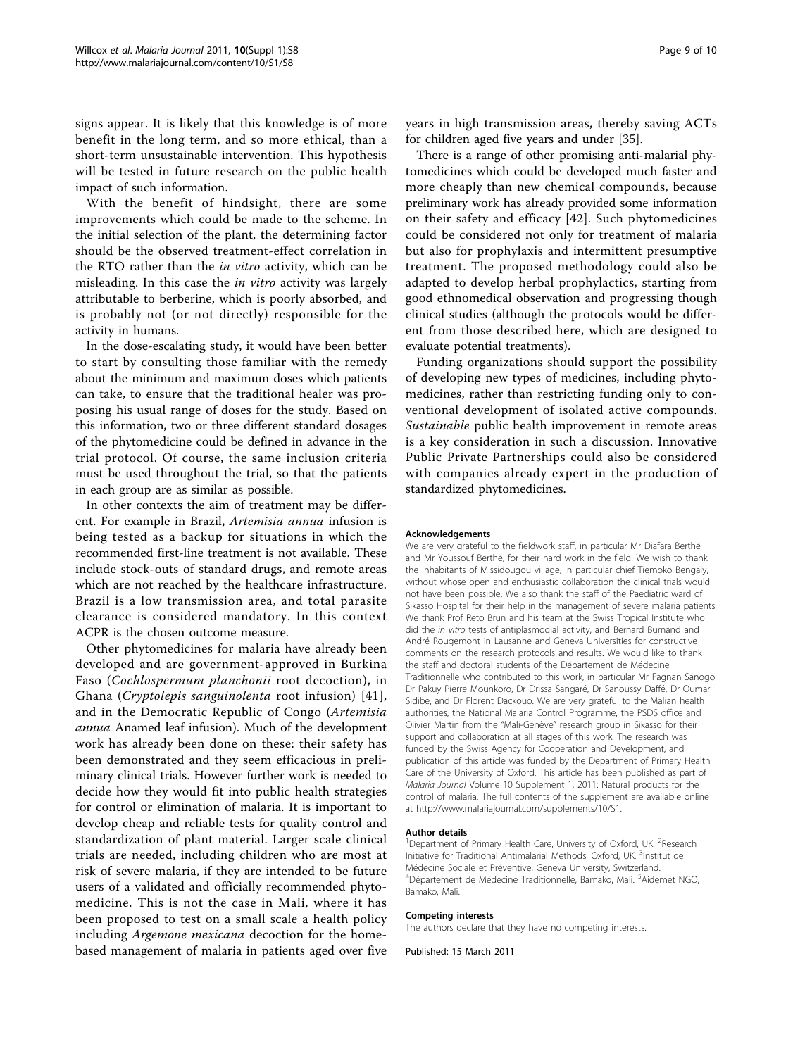signs appear. It is likely that this knowledge is of more benefit in the long term, and so more ethical, than a short-term unsustainable intervention. This hypothesis will be tested in future research on the public health impact of such information.

With the benefit of hindsight, there are some improvements which could be made to the scheme. In the initial selection of the plant, the determining factor should be the observed treatment-effect correlation in the RTO rather than the in vitro activity, which can be misleading. In this case the in vitro activity was largely attributable to berberine, which is poorly absorbed, and is probably not (or not directly) responsible for the activity in humans.

In the dose-escalating study, it would have been better to start by consulting those familiar with the remedy about the minimum and maximum doses which patients can take, to ensure that the traditional healer was proposing his usual range of doses for the study. Based on this information, two or three different standard dosages of the phytomedicine could be defined in advance in the trial protocol. Of course, the same inclusion criteria must be used throughout the trial, so that the patients in each group are as similar as possible.

In other contexts the aim of treatment may be different. For example in Brazil, Artemisia annua infusion is being tested as a backup for situations in which the recommended first-line treatment is not available. These include stock-outs of standard drugs, and remote areas which are not reached by the healthcare infrastructure. Brazil is a low transmission area, and total parasite clearance is considered mandatory. In this context ACPR is the chosen outcome measure.

Other phytomedicines for malaria have already been developed and are government-approved in Burkina Faso (Cochlospermum planchonii root decoction), in Ghana (Cryptolepis sanguinolenta root infusion) [[41\]](#page-9-0), and in the Democratic Republic of Congo (Artemisia annua Anamed leaf infusion). Much of the development work has already been done on these: their safety has been demonstrated and they seem efficacious in preliminary clinical trials. However further work is needed to decide how they would fit into public health strategies for control or elimination of malaria. It is important to develop cheap and reliable tests for quality control and standardization of plant material. Larger scale clinical trials are needed, including children who are most at risk of severe malaria, if they are intended to be future users of a validated and officially recommended phytomedicine. This is not the case in Mali, where it has been proposed to test on a small scale a health policy including *Argemone mexicana* decoction for the homebased management of malaria in patients aged over five years in high transmission areas, thereby saving ACTs for children aged five years and under [[35\]](#page-9-0).

There is a range of other promising anti-malarial phytomedicines which could be developed much faster and more cheaply than new chemical compounds, because preliminary work has already provided some information on their safety and efficacy [\[42](#page-9-0)]. Such phytomedicines could be considered not only for treatment of malaria but also for prophylaxis and intermittent presumptive treatment. The proposed methodology could also be adapted to develop herbal prophylactics, starting from good ethnomedical observation and progressing though clinical studies (although the protocols would be different from those described here, which are designed to evaluate potential treatments).

Funding organizations should support the possibility of developing new types of medicines, including phytomedicines, rather than restricting funding only to conventional development of isolated active compounds. Sustainable public health improvement in remote areas is a key consideration in such a discussion. Innovative Public Private Partnerships could also be considered with companies already expert in the production of standardized phytomedicines.

#### Acknowledgements

We are very grateful to the fieldwork staff, in particular Mr Diafara Berthé and Mr Youssouf Berthé, for their hard work in the field. We wish to thank the inhabitants of Missidougou village, in particular chief Tiemoko Bengaly, without whose open and enthusiastic collaboration the clinical trials would not have been possible. We also thank the staff of the Paediatric ward of Sikasso Hospital for their help in the management of severe malaria patients. We thank Prof Reto Brun and his team at the Swiss Tropical Institute who did the in vitro tests of antiplasmodial activity, and Bernard Burnand and André Rougemont in Lausanne and Geneva Universities for constructive comments on the research protocols and results. We would like to thank the staff and doctoral students of the Département de Médecine Traditionnelle who contributed to this work, in particular Mr Fagnan Sanogo, Dr Pakuy Pierre Mounkoro, Dr Drissa Sangaré, Dr Sanoussy Daffé, Dr Oumar Sidibe, and Dr Florent Dackouo. We are very grateful to the Malian health authorities, the National Malaria Control Programme, the PSDS office and Olivier Martin from the "Mali-Genève" research group in Sikasso for their support and collaboration at all stages of this work. The research was funded by the Swiss Agency for Cooperation and Development, and publication of this article was funded by the Department of Primary Health Care of the University of Oxford. This article has been published as part of Malaria Journal Volume 10 Supplement 1, 2011: Natural products for the control of malaria. The full contents of the supplement are available online at [http://www.malariajournal.com/supplements/10/S1.](http://www.malariajournal.com/supplements/10/S1)

#### Author details

<sup>1</sup>Department of Primary Health Care, University of Oxford, UK. <sup>2</sup>Research Initiative for Traditional Antimalarial Methods, Oxford, UK. <sup>3</sup>Institut de Médecine Sociale et Préventive, Geneva University, Switzerland. <sup>4</sup>Département de Médecine Traditionnelle, Bamako, Mali. <sup>5</sup>Aidemet NGO, Bamako, Mali.

#### Competing interests

The authors declare that they have no competing interests.

Published: 15 March 2011